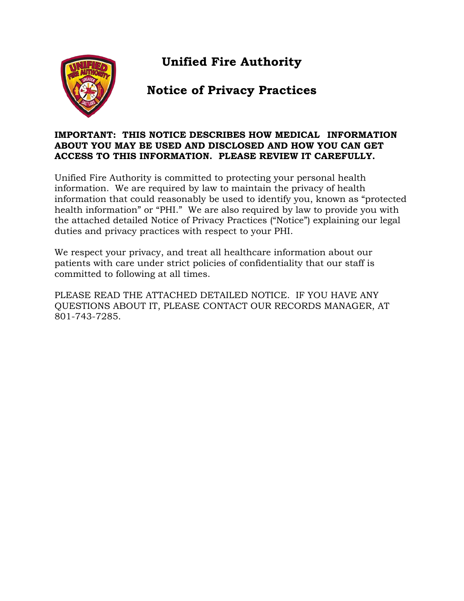**Unified Fire Authority**



# **Notice of Privacy Practices**

#### **IMPORTANT: THIS NOTICE DESCRIBES HOW MEDICAL INFORMATION ABOUT YOU MAY BE USED AND DISCLOSED AND HOW YOU CAN GET ACCESS TO THIS INFORMATION. PLEASE REVIEW IT CAREFULLY.**

Unified Fire Authority is committed to protecting your personal health information. We are required by law to maintain the privacy of health information that could reasonably be used to identify you, known as "protected health information" or "PHI." We are also required by law to provide you with the attached detailed Notice of Privacy Practices ("Notice") explaining our legal duties and privacy practices with respect to your PHI.

We respect your privacy, and treat all healthcare information about our patients with care under strict policies of confidentiality that our staff is committed to following at all times.

PLEASE READ THE ATTACHED DETAILED NOTICE. IF YOU HAVE ANY QUESTIONS ABOUT IT, PLEASE CONTACT OUR RECORDS MANAGER, AT 801-743-7285.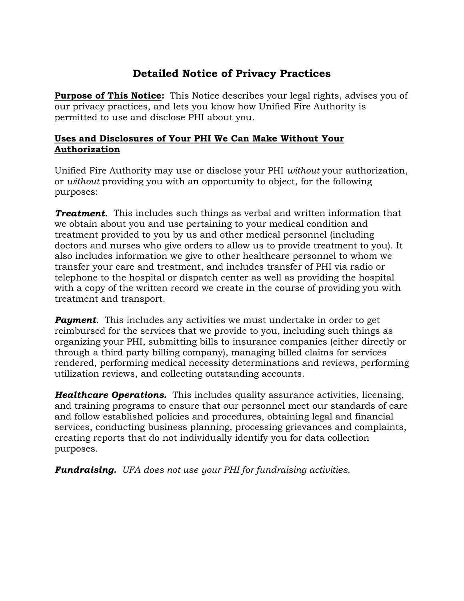## **Detailed Notice of Privacy Practices**

**Purpose of This Notice:**This Notice describes your legal rights, advises you of our privacy practices, and lets you know how Unified Fire Authority is permitted to use and disclose PHI about you.

### **Uses and Disclosures of Your PHI We Can Make Without Your Authorization**

Unified Fire Authority may use or disclose your PHI *without* your authorization, or *without* providing you with an opportunity to object, for the following purposes:

*Treatment.* This includes such things as verbal and written information that we obtain about you and use pertaining to your medical condition and treatment provided to you by us and other medical personnel (including doctors and nurses who give orders to allow us to provide treatment to you). It also includes information we give to other healthcare personnel to whom we transfer your care and treatment, and includes transfer of PHI via radio or telephone to the hospital or dispatch center as well as providing the hospital with a copy of the written record we create in the course of providing you with treatment and transport.

*Payment*. This includes any activities we must undertake in order to get reimbursed for the services that we provide to you, including such things as organizing your PHI, submitting bills to insurance companies (either directly or through a third party billing company), managing billed claims for services rendered, performing medical necessity determinations and reviews, performing utilization reviews, and collecting outstanding accounts.

*Healthcare Operations.* This includes quality assurance activities, licensing, and training programs to ensure that our personnel meet our standards of care and follow established policies and procedures, obtaining legal and financial services, conducting business planning, processing grievances and complaints, creating reports that do not individually identify you for data collection purposes.

*Fundraising. UFA does not use your PHI for fundraising activities.*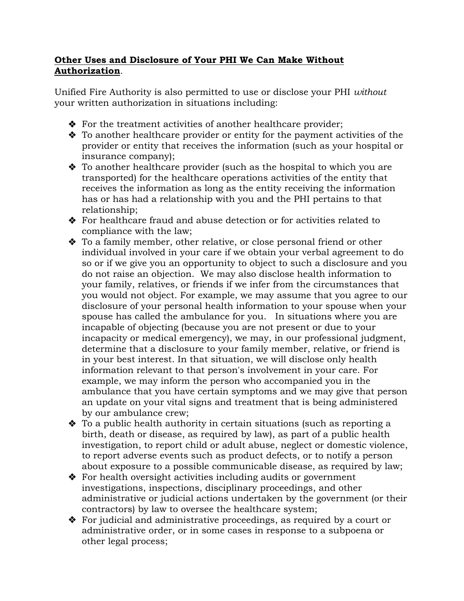### **Other Uses and Disclosure of Your PHI We Can Make Without Authorization***.*

Unified Fire Authority is also permitted to use or disclose your PHI *without* your written authorization in situations including:

- ◆ For the treatment activities of another healthcare provider;
- To another healthcare provider or entity for the payment activities of the provider or entity that receives the information (such as your hospital or insurance company);
- $\bullet$  To another healthcare provider (such as the hospital to which you are transported) for the healthcare operations activities of the entity that receives the information as long as the entity receiving the information has or has had a relationship with you and the PHI pertains to that relationship;
- For healthcare fraud and abuse detection or for activities related to compliance with the law;
- To a family member, other relative, or close personal friend or other individual involved in your care if we obtain your verbal agreement to do so or if we give you an opportunity to object to such a disclosure and you do not raise an objection. We may also disclose health information to your family, relatives, or friends if we infer from the circumstances that you would not object. For example, we may assume that you agree to our disclosure of your personal health information to your spouse when your spouse has called the ambulance for you. In situations where you are incapable of objecting (because you are not present or due to your incapacity or medical emergency), we may, in our professional judgment, determine that a disclosure to your family member, relative, or friend is in your best interest. In that situation, we will disclose only health information relevant to that person's involvement in your care. For example, we may inform the person who accompanied you in the ambulance that you have certain symptoms and we may give that person an update on your vital signs and treatment that is being administered by our ambulance crew;
- To a public health authority in certain situations (such as reporting a birth, death or disease, as required by law), as part of a public health investigation, to report child or adult abuse, neglect or domestic violence, to report adverse events such as product defects, or to notify a person about exposure to a possible communicable disease, as required by law;
- ◆ For health oversight activities including audits or government investigations, inspections, disciplinary proceedings, and other administrative or judicial actions undertaken by the government (or their contractors) by law to oversee the healthcare system;
- For judicial and administrative proceedings, as required by a court or administrative order, or in some cases in response to a subpoena or other legal process;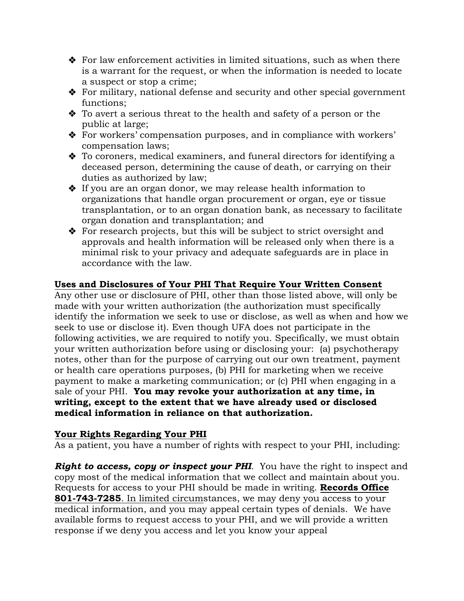- $\hat{\mathbf{v}}$  For law enforcement activities in limited situations, such as when there is a warrant for the request, or when the information is needed to locate a suspect or stop a crime;
- For military, national defense and security and other special government functions;
- To avert a serious threat to the health and safety of a person or the public at large;
- For workers' compensation purposes, and in compliance with workers' compensation laws;
- To coroners, medical examiners, and funeral directors for identifying a deceased person, determining the cause of death, or carrying on their duties as authorized by law;
- If you are an organ donor, we may release health information to organizations that handle organ procurement or organ, eye or tissue transplantation, or to an organ donation bank, as necessary to facilitate organ donation and transplantation; and
- ◆ For research projects, but this will be subject to strict oversight and approvals and health information will be released only when there is a minimal risk to your privacy and adequate safeguards are in place in accordance with the law.

### **Uses and Disclosures of Your PHI That Require Your Written Consent**

Any other use or disclosure of PHI, other than those listed above, will only be made with your written authorization (the authorization must specifically identify the information we seek to use or disclose, as well as when and how we seek to use or disclose it). Even though UFA does not participate in the following activities, we are required to notify you. Specifically, we must obtain your written authorization before using or disclosing your: (a) psychotherapy notes, other than for the purpose of carrying out our own treatment, payment or health care operations purposes, (b) PHI for marketing when we receive payment to make a marketing communication; or (c) PHI when engaging in a sale of your PHI. **You may revoke your authorization at any time, in writing, except to the extent that we have already used or disclosed medical information in reliance on that authorization.**

### **Your Rights Regarding Your PHI**

As a patient, you have a number of rights with respect to your PHI, including:

*Right to access, copy or inspect your PHI.* You have the right to inspect and copy most of the medical information that we collect and maintain about you. Requests for access to your PHI should be made in writing. **Records Office 801-743-7285**. In limited circumstances, we may deny you access to your medical information, and you may appeal certain types of denials. We have available forms to request access to your PHI, and we will provide a written response if we deny you access and let you know your appeal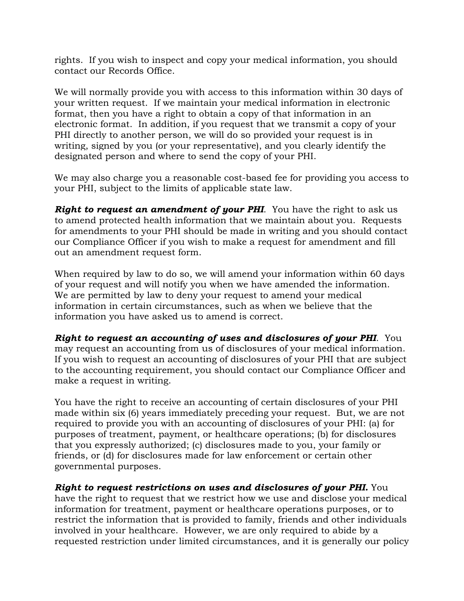rights. If you wish to inspect and copy your medical information, you should contact our Records Office.

We will normally provide you with access to this information within 30 days of your written request. If we maintain your medical information in electronic format, then you have a right to obtain a copy of that information in an electronic format. In addition, if you request that we transmit a copy of your PHI directly to another person, we will do so provided your request is in writing, signed by you (or your representative), and you clearly identify the designated person and where to send the copy of your PHI.

We may also charge you a reasonable cost-based fee for providing you access to your PHI, subject to the limits of applicable state law.

*Right to request an amendment of your PHI.* You have the right to ask us to amend protected health information that we maintain about you. Requests for amendments to your PHI should be made in writing and you should contact our Compliance Officer if you wish to make a request for amendment and fill out an amendment request form.

When required by law to do so, we will amend your information within 60 days of your request and will notify you when we have amended the information. We are permitted by law to deny your request to amend your medical information in certain circumstances, such as when we believe that the information you have asked us to amend is correct.

*Right to request an accounting of uses and disclosures of your PHI*. You may request an accounting from us of disclosures of your medical information. If you wish to request an accounting of disclosures of your PHI that are subject to the accounting requirement, you should contact our Compliance Officer and make a request in writing.

You have the right to receive an accounting of certain disclosures of your PHI made within six (6) years immediately preceding your request. But, we are not required to provide you with an accounting of disclosures of your PHI: (a) for purposes of treatment, payment, or healthcare operations; (b) for disclosures that you expressly authorized; (c) disclosures made to you, your family or friends, or (d) for disclosures made for law enforcement or certain other governmental purposes.

*Right to request restrictions on uses and disclosures of your PHI.* You have the right to request that we restrict how we use and disclose your medical information for treatment, payment or healthcare operations purposes, or to restrict the information that is provided to family, friends and other individuals involved in your healthcare. However, we are only required to abide by a requested restriction under limited circumstances, and it is generally our policy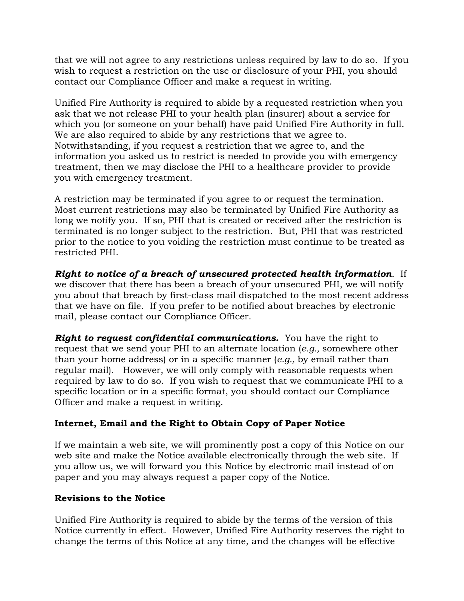that we will not agree to any restrictions unless required by law to do so. If you wish to request a restriction on the use or disclosure of your PHI, you should contact our Compliance Officer and make a request in writing.

Unified Fire Authority is required to abide by a requested restriction when you ask that we not release PHI to your health plan (insurer) about a service for which you (or someone on your behalf) have paid Unified Fire Authority in full. We are also required to abide by any restrictions that we agree to. Notwithstanding, if you request a restriction that we agree to, and the information you asked us to restrict is needed to provide you with emergency treatment, then we may disclose the PHI to a healthcare provider to provide you with emergency treatment.

A restriction may be terminated if you agree to or request the termination. Most current restrictions may also be terminated by Unified Fire Authority as long we notify you. If so, PHI that is created or received after the restriction is terminated is no longer subject to the restriction. But, PHI that was restricted prior to the notice to you voiding the restriction must continue to be treated as restricted PHI.

*Right to notice of a breach of unsecured protected health information*. If we discover that there has been a breach of your unsecured PHI, we will notify you about that breach by first-class mail dispatched to the most recent address that we have on file. If you prefer to be notified about breaches by electronic mail, please contact our Compliance Officer.

*Right to request confidential communications.* You have the right to request that we send your PHI to an alternate location (*e.g.,* somewhere other than your home address) or in a specific manner (*e.g.,* by email rather than regular mail). However, we will only comply with reasonable requests when required by law to do so. If you wish to request that we communicate PHI to a specific location or in a specific format, you should contact our Compliance Officer and make a request in writing.

## **Internet, Email and the Right to Obtain Copy of Paper Notice**

If we maintain a web site, we will prominently post a copy of this Notice on our web site and make the Notice available electronically through the web site. If you allow us, we will forward you this Notice by electronic mail instead of on paper and you may always request a paper copy of the Notice.

### **Revisions to the Notice**

Unified Fire Authority is required to abide by the terms of the version of this Notice currently in effect. However, Unified Fire Authority reserves the right to change the terms of this Notice at any time, and the changes will be effective